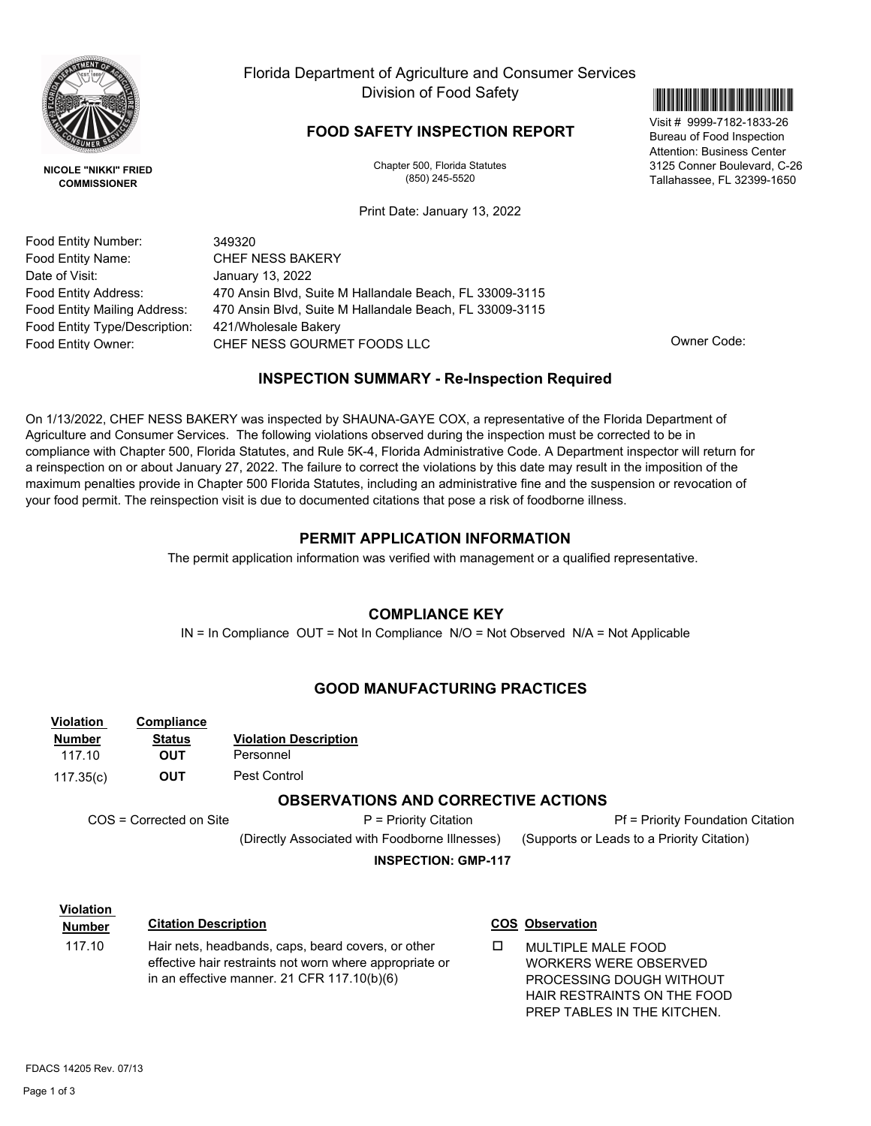

**NICOLE "NIKKI" FRIED COMMISSIONER**

Florida Department of Agriculture and Consumer Services Division of Food Safety

## **FOOD SAFETY INSPECTION REPORT**

Chapter 500, Florida Statutes (850) 245-5520

Print Date: January 13, 2022

\*99997182183326\*

Visit # 9999-7182-1833-26 Bureau of Food Inspection Attention: Business Center 3125 Conner Boulevard, C-26 Tallahassee, FL 32399-1650

Food Entity Number: Food Entity Name: Date of Visit: Food Entity Address:

Food Entity Mailing Address: Food Entity Type/Description:

Food Entity Owner:

349320 CHEF NESS GOURMET FOODS LLC **CHEF NESS** GOURMET FOODS LLC 421/Wholesale Bakery 470 Ansin Blvd, Suite M Hallandale Beach, FL 33009-3115 470 Ansin Blvd, Suite M Hallandale Beach, FL 33009-3115 January 13, 2022 CHEF NESS BAKERY

PROCESSING DOUGH WITHOUT HAIR RESTRAINTS ON THE FOOD PREP TABLES IN THE KITCHEN.

## **INSPECTION SUMMARY - Re-Inspection Required**

On 1/13/2022, CHEF NESS BAKERY was inspected by SHAUNA-GAYE COX, a representative of the Florida Department of Agriculture and Consumer Services. The following violations observed during the inspection must be corrected to be in compliance with Chapter 500, Florida Statutes, and Rule 5K-4, Florida Administrative Code. A Department inspector will return for a reinspection on or about January 27, 2022. The failure to correct the violations by this date may result in the imposition of the maximum penalties provide in Chapter 500 Florida Statutes, including an administrative fine and the suspension or revocation of your food permit. The reinspection visit is due to documented citations that pose a risk of foodborne illness.

## **PERMIT APPLICATION INFORMATION**

The permit application information was verified with management or a qualified representative.

## **COMPLIANCE KEY**

IN = In Compliance OUT = Not In Compliance N/O = Not Observed N/A = Not Applicable

## **GOOD MANUFACTURING PRACTICES**

| <b>Violation</b><br><b>Number</b><br>117.10<br>117.35(c) | Compliance<br><b>Status</b><br><b>OUT</b><br><b>OUT</b> | <b>Violation Description</b><br>Personnel<br>Pest Control                                                     |   |                                                    |
|----------------------------------------------------------|---------------------------------------------------------|---------------------------------------------------------------------------------------------------------------|---|----------------------------------------------------|
|                                                          |                                                         | <b>OBSERVATIONS AND CORRECTIVE ACTIONS</b>                                                                    |   |                                                    |
| COS = Corrected on Site<br>P = Priority Citation         |                                                         |                                                                                                               |   | <b>Pf = Priority Foundation Citation</b>           |
|                                                          |                                                         | (Directly Associated with Foodborne Illnesses)                                                                |   | (Supports or Leads to a Priority Citation)         |
| <b>INSPECTION: GMP-117</b>                               |                                                         |                                                                                                               |   |                                                    |
|                                                          |                                                         |                                                                                                               |   |                                                    |
| <b>Violation</b>                                         |                                                         |                                                                                                               |   |                                                    |
| <b>Number</b>                                            |                                                         | <b>Citation Description</b>                                                                                   |   | <b>COS Observation</b>                             |
| 117.10                                                   |                                                         | Hair nets, headbands, caps, beard covers, or other<br>effective hair restraints not worn where appropriate or | □ | MULTIPLE MALE FOOD<br><b>WORKERS WERE OBSERVED</b> |

in an effective manner. 21 CFR 117.10(b)(6)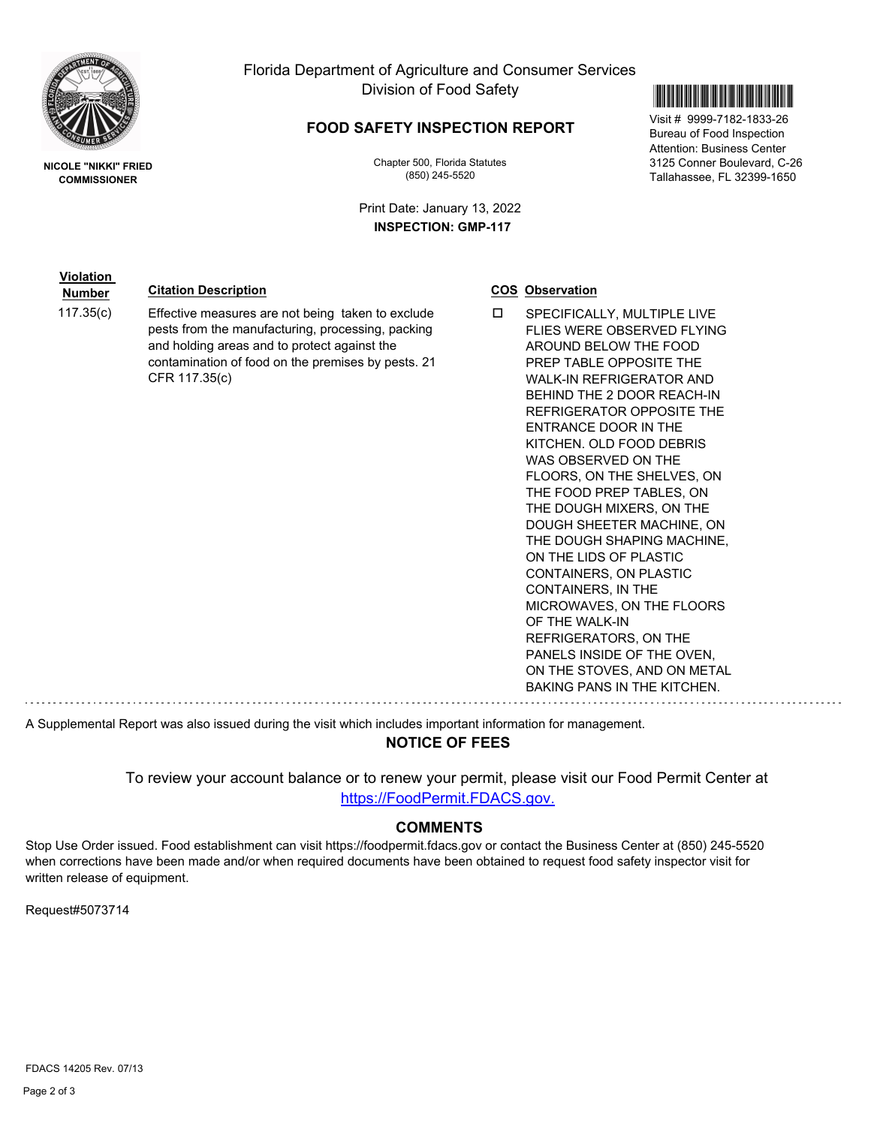

Florida Department of Agriculture and Consumer Services Division of Food Safety

## **FOOD SAFETY INSPECTION REPORT**

Chapter 500, Florida Statutes (850) 245-5520

Print Date: January 13, 2022 **INSPECTION: GMP-117**



Visit # 9999-7182-1833-26 Bureau of Food Inspection Attention: Business Center 3125 Conner Boulevard, C-26 Tallahassee, FL 32399-1650

**NICOLE "NIKKI" FRIED COMMISSIONER**

**Violation** 

# **Number Citation Description COS COS Observation**

117.35 $(c)$  Effective measures are not being taken to exclude  $\square$ pests from the manufacturing, processing, packing and holding areas and to protect against the contamination of food on the premises by pests. 21 CFR 117.35(c)

SPECIFICALLY, MULTIPLE LIVE FLIES WERE OBSERVED FLYING AROUND BELOW THE FOOD PREP TABLE OPPOSITE THE WALK-IN REFRIGERATOR AND BEHIND THE 2 DOOR REACH-IN REFRIGERATOR OPPOSITE THE ENTRANCE DOOR IN THE KITCHEN. OLD FOOD DEBRIS WAS OBSERVED ON THE FLOORS, ON THE SHELVES, ON THE FOOD PREP TABLES, ON THE DOUGH MIXERS, ON THE DOUGH SHEETER MACHINE, ON THE DOUGH SHAPING MACHINE, ON THE LIDS OF PLASTIC CONTAINERS, ON PLASTIC CONTAINERS, IN THE MICROWAVES, ON THE FLOORS OF THE WALK-IN REFRIGERATORS, ON THE PANELS INSIDE OF THE OVEN, ON THE STOVES, AND ON METAL BAKING PANS IN THE KITCHEN.

A Supplemental Report was also issued during the visit which includes important information for management.

## **NOTICE OF FEES**

To review your account balance or to renew your permit, please visit our Food Permit Center at https://FoodPermit.FDACS.gov.

#### **COMMENTS**

Stop Use Order issued. Food establishment can visit https://foodpermit.fdacs.gov or contact the Business Center at (850) 245-5520 when corrections have been made and/or when required documents have been obtained to request food safety inspector visit for written release of equipment.

Request#5073714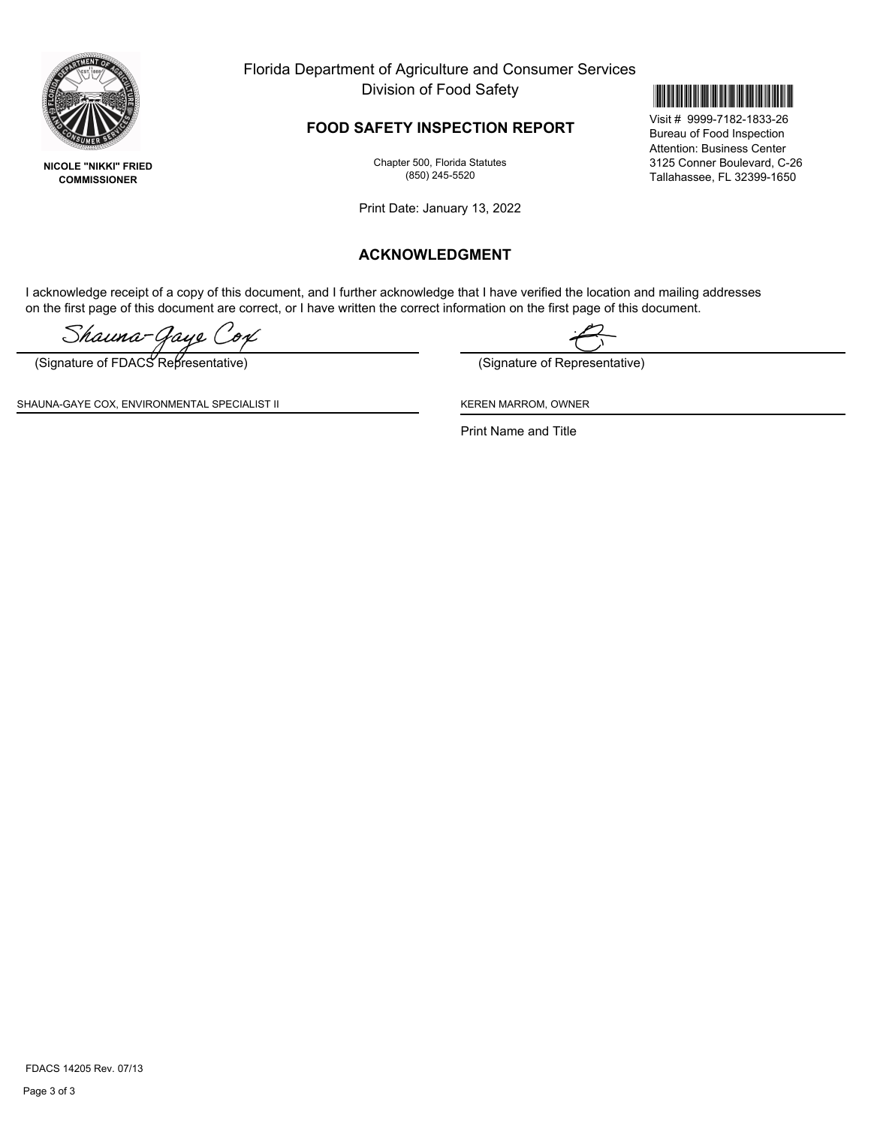

**NICOLE "NIKKI" FRIED COMMISSIONER**

Florida Department of Agriculture and Consumer Services Division of Food Safety

## **FOOD SAFETY INSPECTION REPORT**

Chapter 500, Florida Statutes (850) 245-5520

Print Date: January 13, 2022

## **ACKNOWLEDGMENT**

I acknowledge receipt of a copy of this document, and I further acknowledge that I have verified the location and mailing addresses on the first page of this document are correct, or I have written the correct information on the first page of this document.

Shauna-Gaye (

(Signature of FDACS Representative) (Signature of Representative)

SHAUNA-GAYE COX, ENVIRONMENTAL SPECIALIST II KEREN MARROM, OWNER

Print Name and Title

FDACS 14205 Rev. 07/13



Visit # 9999-7182-1833-26 Bureau of Food Inspection Attention: Business Center 3125 Conner Boulevard, C-26 Tallahassee, FL 32399-1650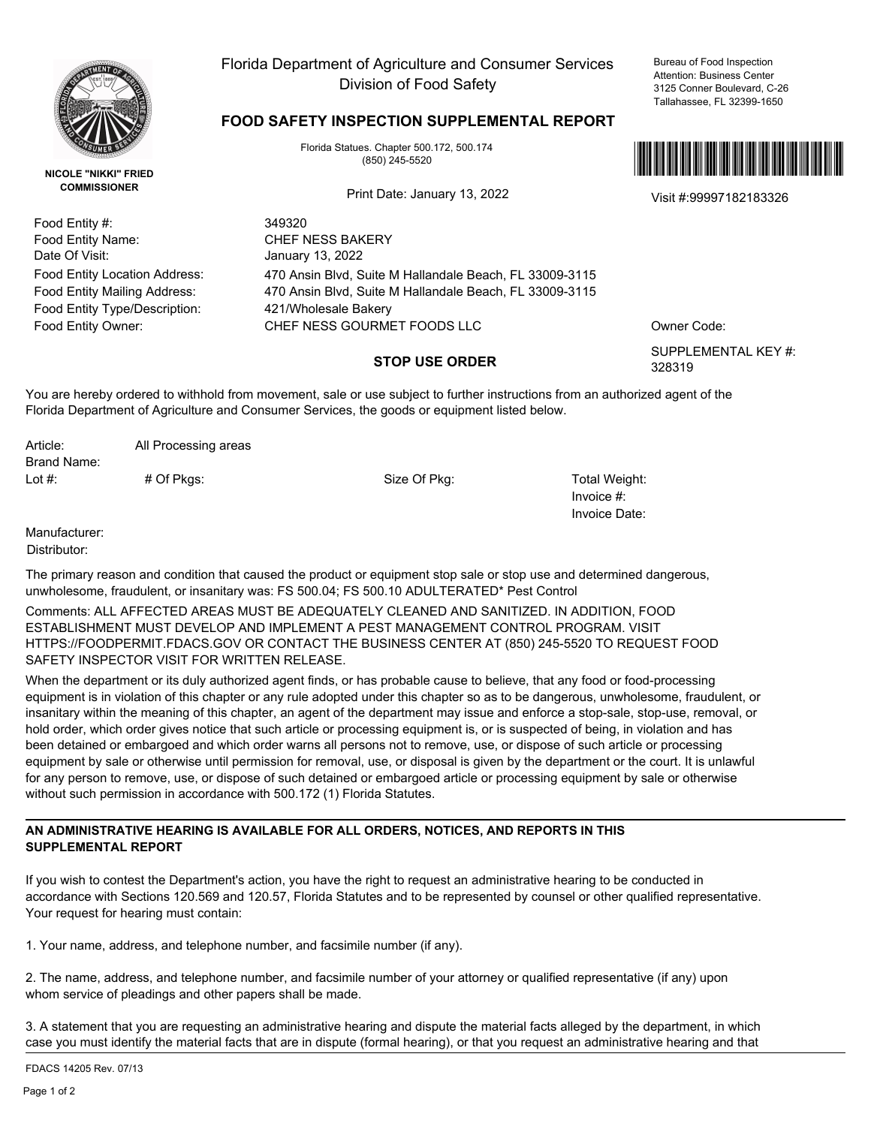

**NICOLE "NIKKI" FRIED COMMISSIONER**

Food Entity Type/Description: 421/Wholesale Bakery Food Entity #: Food Entity Name: Date Of Visit:

# Florida Department of Agriculture and Consumer Services Division of Food Safety

Bureau of Food Inspection Attention: Business Center 3125 Conner Boulevard, C-26 Tallahassee, FL 32399-1650

## **FOOD SAFETY INSPECTION SUPPLEMENTAL REPORT**

Florida Statues. Chapter 500.172, 500.174 (850) 245-5520

Visit #:99997182183326 Print Date: January 13, 2022

349320 CHEF NESS BAKERY January 13, 2022 Food Entity Owner: CHEF NESS GOURMET FOODS LLC CHEF OWNER Code: Food Entity Mailing Address: 470 Ansin Blvd, Suite M Hallandale Beach, FL 33009-3115 Food Entity Location Address: 470 Ansin Blvd, Suite M Hallandale Beach, FL 33009-3115

### **STOP USE ORDER**

\*99997182183326\*

SUPPLEMENTAL KEY #: 328319

You are hereby ordered to withhold from movement, sale or use subject to further instructions from an authorized agent of the Florida Department of Agriculture and Consumer Services, the goods or equipment listed below.

# Of Pkgs: Size Of Pkg: Total Weight: Lot #: Article: All Processing areas Brand Name:

Invoice #: Invoice Date:

Manufacturer:

Distributor:

The primary reason and condition that caused the product or equipment stop sale or stop use and determined dangerous, unwholesome, fraudulent, or insanitary was: FS 500.04; FS 500.10 ADULTERATED\* Pest Control

Comments: ALL AFFECTED AREAS MUST BE ADEQUATELY CLEANED AND SANITIZED. IN ADDITION, FOOD ESTABLISHMENT MUST DEVELOP AND IMPLEMENT A PEST MANAGEMENT CONTROL PROGRAM. VISIT HTTPS://FOODPERMIT.FDACS.GOV OR CONTACT THE BUSINESS CENTER AT (850) 245-5520 TO REQUEST FOOD SAFETY INSPECTOR VISIT FOR WRITTEN RELEASE.

When the department or its duly authorized agent finds, or has probable cause to believe, that any food or food-processing equipment is in violation of this chapter or any rule adopted under this chapter so as to be dangerous, unwholesome, fraudulent, or insanitary within the meaning of this chapter, an agent of the department may issue and enforce a stop-sale, stop-use, removal, or hold order, which order gives notice that such article or processing equipment is, or is suspected of being, in violation and has been detained or embargoed and which order warns all persons not to remove, use, or dispose of such article or processing equipment by sale or otherwise until permission for removal, use, or disposal is given by the department or the court. It is unlawful for any person to remove, use, or dispose of such detained or embargoed article or processing equipment by sale or otherwise without such permission in accordance with 500.172 (1) Florida Statutes.

#### **AN ADMINISTRATIVE HEARING IS AVAILABLE FOR ALL ORDERS, NOTICES, AND REPORTS IN THIS SUPPLEMENTAL REPORT**

If you wish to contest the Department's action, you have the right to request an administrative hearing to be conducted in accordance with Sections 120.569 and 120.57, Florida Statutes and to be represented by counsel or other qualified representative. Your request for hearing must contain:

1. Your name, address, and telephone number, and facsimile number (if any).

2. The name, address, and telephone number, and facsimile number of your attorney or qualified representative (if any) upon whom service of pleadings and other papers shall be made.

3. A statement that you are requesting an administrative hearing and dispute the material facts alleged by the department, in which case you must identify the material facts that are in dispute (formal hearing), or that you request an administrative hearing and that

FDACS 14205 Rev. 07/13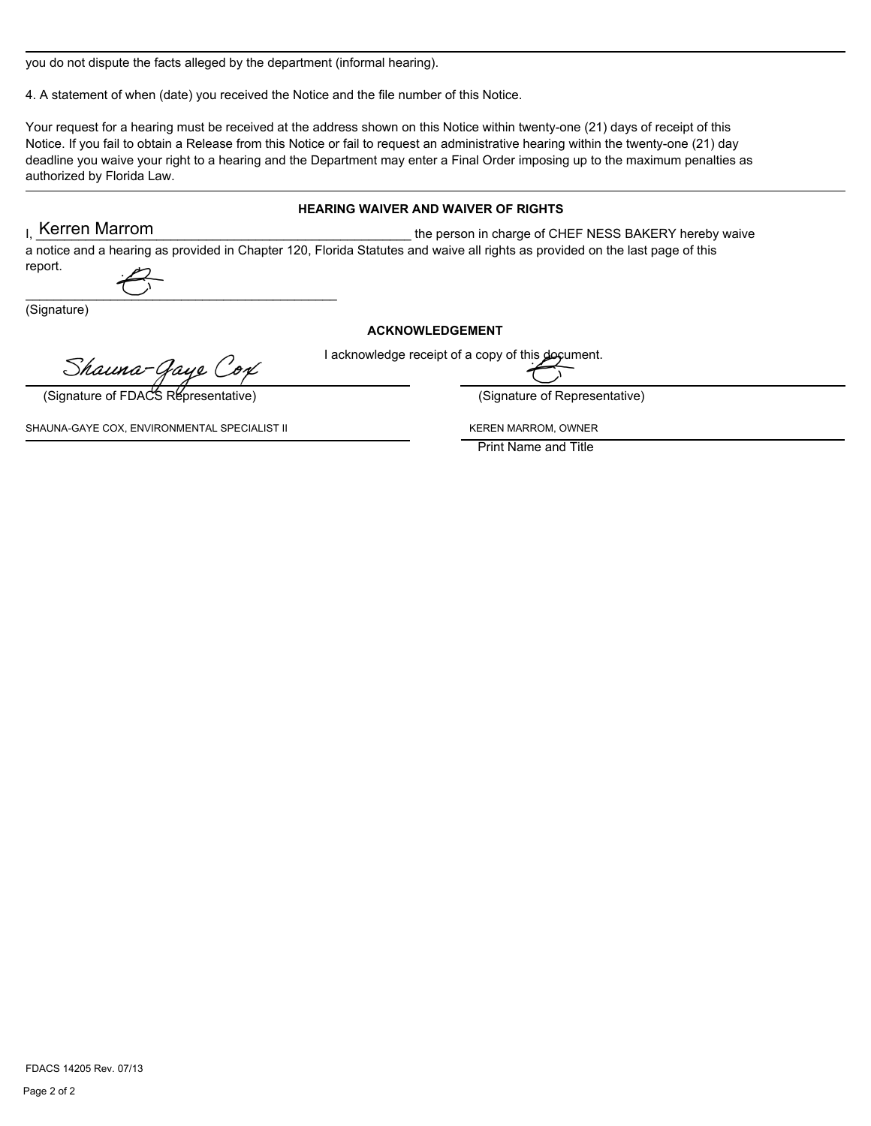you do not dispute the facts alleged by the department (informal hearing).

4. A statement of when (date) you received the Notice and the file number of this Notice.

Your request for a hearing must be received at the address shown on this Notice within twenty-one (21) days of receipt of this Notice. If you fail to obtain a Release from this Notice or fail to request an administrative hearing within the twenty-one (21) day deadline you waive your right to a hearing and the Department may enter a Final Order imposing up to the maximum penalties as authorized by Florida Law.

#### **HEARING WAIVER AND WAIVER OF RIGHTS**

the person in charge of CHEF NESS BAKERY hereby waive a notice and a hearing as provided in Chapter 120, Florida Statutes and waive all rights as provided on the last page of this report. L Kerren Marrom

(Signature)

#### **ACKNOWLEDGEMENT**

I acknowledge receipt of a copy of this document.

Shauna-Gaye Cox

 $\overline{\phantom{a}}$  , and the contract of the contract of the contract of the contract of the contract of the contract of the contract of the contract of the contract of the contract of the contract of the contract of the contrac

(Signature of FDACS Representative) (Signature of Representative)

SHAUNA-GAYE COX, ENVIRONMENTAL SPECIALIST II KEREN MARROM, OWNER

Print Name and Title